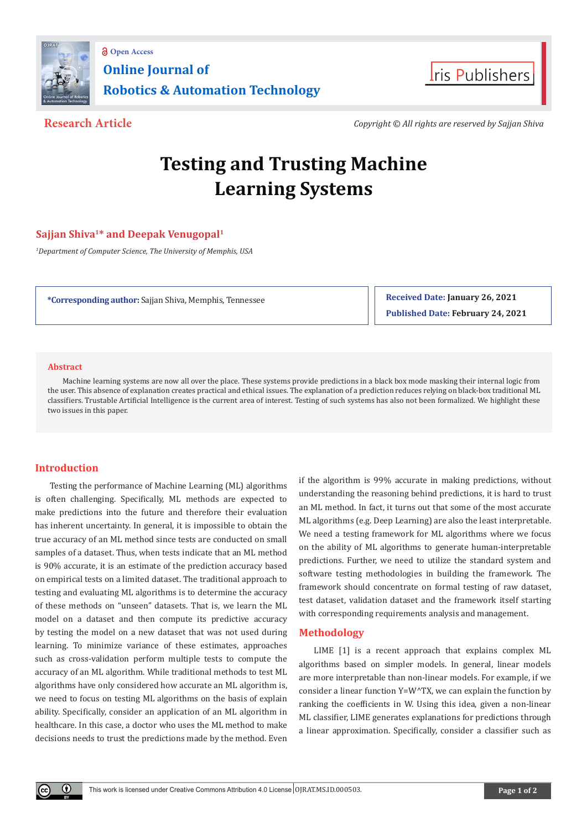



**Research Article** *Copyright © All rights are reserved by Sajjan Shiva*

# **Testing and Trusting Machine Learning Systems**

## **Sajjan Shiva1\* and Deepak Venugopal1**

*1 Department of Computer Science, The University of Memphis, USA*

**\*Corresponding author:** Sajjan Shiva, Memphis, Tennessee

**Received Date: January 26, 2021 Published Date: February 24, 2021**

#### **Abstract**

Machine learning systems are now all over the place. These systems provide predictions in a black box mode masking their internal logic from the user. This absence of explanation creates practical and ethical issues. The explanation of a prediction reduces relying on black-box traditional ML classifiers. Trustable Artificial Intelligence is the current area of interest. Testing of such systems has also not been formalized. We highlight these two issues in this paper.

### **Introduction**

Œ

Testing the performance of Machine Learning (ML) algorithms is often challenging. Specifically, ML methods are expected to make predictions into the future and therefore their evaluation has inherent uncertainty. In general, it is impossible to obtain the true accuracy of an ML method since tests are conducted on small samples of a dataset. Thus, when tests indicate that an ML method is 90% accurate, it is an estimate of the prediction accuracy based on empirical tests on a limited dataset. The traditional approach to testing and evaluating ML algorithms is to determine the accuracy of these methods on "unseen" datasets. That is, we learn the ML model on a dataset and then compute its predictive accuracy by testing the model on a new dataset that was not used during learning. To minimize variance of these estimates, approaches such as cross-validation perform multiple tests to compute the accuracy of an ML algorithm. While traditional methods to test ML algorithms have only considered how accurate an ML algorithm is, we need to focus on testing ML algorithms on the basis of explain ability. Specifically, consider an application of an ML algorithm in healthcare. In this case, a doctor who uses the ML method to make decisions needs to trust the predictions made by the method. Even

if the algorithm is 99% accurate in making predictions, without understanding the reasoning behind predictions, it is hard to trust an ML method. In fact, it turns out that some of the most accurate ML algorithms (e.g. Deep Learning) are also the least interpretable. We need a testing framework for ML algorithms where we focus on the ability of ML algorithms to generate human-interpretable predictions. Further, we need to utilize the standard system and software testing methodologies in building the framework. The framework should concentrate on formal testing of raw dataset, test dataset, validation dataset and the framework itself starting with corresponding requirements analysis and management.

#### **Methodology**

LIME [1] is a recent approach that explains complex ML algorithms based on simpler models. In general, linear models are more interpretable than non-linear models. For example, if we consider a linear function Y=W^TX, we can explain the function by ranking the coefficients in W. Using this idea, given a non-linear ML classifier, LIME generates explanations for predictions through a linear approximation. Specifically, consider a classifier such as